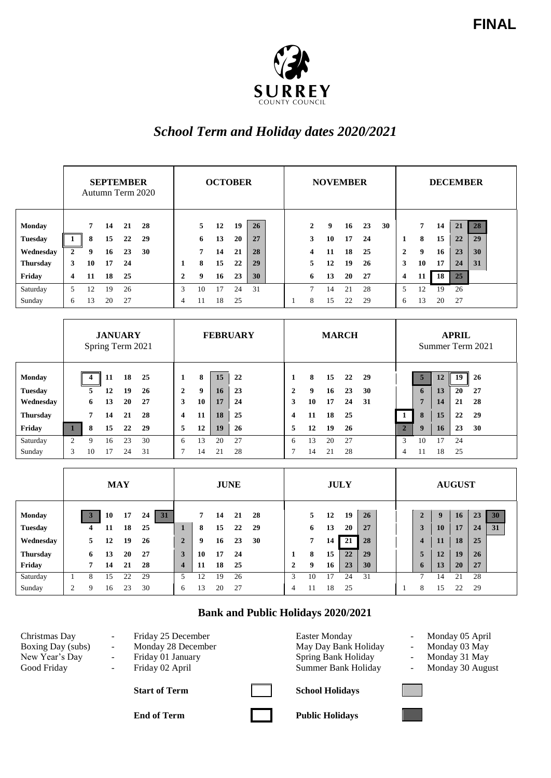

## *School Term and Holiday dates 2020/2021*

|                 | <b>SEPTEMBER</b><br>Autumn Term 2020 |    |    |    | <b>OCTOBER</b> |              |                |    |    | <b>NOVEMBER</b> |  |  |               |    |    |    | <b>DECEMBER</b> |                         |    |    |    |    |  |
|-----------------|--------------------------------------|----|----|----|----------------|--------------|----------------|----|----|-----------------|--|--|---------------|----|----|----|-----------------|-------------------------|----|----|----|----|--|
| <b>Monday</b>   |                                      | 7  | 14 | 21 | 28             |              | 5.             | 12 | 19 | 26              |  |  | $\mathbf{2}$  | 9  | 16 | 23 | 30              |                         | 7  | 14 | 21 | 28 |  |
| <b>Tuesday</b>  |                                      | 8  | 15 | 22 | 29             |              | 6              | 13 | 20 | 27              |  |  | 3             | 10 | 17 | 24 |                 | 1                       | 8  | 15 | 22 | 29 |  |
| Wednesday       | $\overline{2}$                       | 9  | 16 | 23 | 30             |              | $\overline{7}$ | 14 | 21 | 28              |  |  | 4             | 11 | 18 | 25 |                 | $\overline{2}$          | 9  | 16 | 23 | 30 |  |
| <b>Thursday</b> | 3                                    | 10 | 17 | 24 |                |              | 8              | 15 | 22 | 29              |  |  | 5.            | 12 | 19 | 26 |                 | 3                       | 10 | 17 | 24 | 31 |  |
| Friday          | $\overline{\mathbf{4}}$              | 11 | 18 | 25 |                | $\mathbf{2}$ | 9              | 16 | 23 | 30              |  |  | 6             | 13 | 20 | 27 |                 | $\overline{\mathbf{4}}$ | 11 | 18 | 25 |    |  |
| Saturday        | 5                                    | 12 | 19 | 26 |                | 3            | 10             | 17 | 24 | 31              |  |  | $\mathcal{I}$ | 14 | 21 | 28 |                 | 5                       | 12 | 19 | 26 |    |  |
| Sunday          | 6                                    | 13 | 20 | 27 |                | 4            | 11             | 18 | 25 |                 |  |  | 8             | 15 | 22 | 29 |                 | 6                       | 13 | 20 | 27 |    |  |

|                 | <b>JANUARY</b><br>Spring Term 2021 |    |    |    | <b>FEBRUARY</b> |   |    |    | <b>MARCH</b> |             |    |    |    |    | <b>APRIL</b><br>Summer Term 2021 |    |    |    |     |  |  |
|-----------------|------------------------------------|----|----|----|-----------------|---|----|----|--------------|-------------|----|----|----|----|----------------------------------|----|----|----|-----|--|--|
| <b>Monday</b>   |                                    |    | 11 | 18 | 25              |   | 8  | 15 | 22           |             | 8  | 15 | 22 | 29 |                                  | 5  | 12 | 19 | -26 |  |  |
| <b>Tuesday</b>  |                                    | 5  | 12 | 19 | 26              | 2 | 9  | 16 | 23           | $\mathbf 2$ | 9  | 16 | 23 | 30 |                                  | 6  | 13 | 20 | 27  |  |  |
| Wednesday       |                                    | 6  | 13 | 20 | 27              | 3 | 10 | 17 | 24           | 3           | 10 | 17 | 24 | 31 |                                  | E  | 14 | 21 | 28  |  |  |
| <b>Thursday</b> |                                    | 7  | 14 | 21 | 28              | 4 | 11 | 18 | 25           | 4           | 11 | 18 | 25 |    |                                  | 8  | 15 | 22 | 29  |  |  |
| Friday          |                                    | 8  | 15 | 22 | 29              | 5 | 12 | 19 | <b>26</b>    | 5           | 12 | 19 | 26 |    | $\overline{2}$                   | 9  | 16 | 23 | 30  |  |  |
| Saturday        | 2                                  | 9  | 16 | 23 | 30              | 6 | 13 | 20 | 27           | 6           | 13 | 20 | 27 |    | 3                                | 10 | 17 | 24 |     |  |  |
| Sunday          | 3                                  | 10 | 17 | 24 | 31              |   | 14 | 21 | 28           | ⇁           | 14 | 21 | 28 |    | 4                                | 11 | 18 | 25 |     |  |  |

|                 | <b>MAY</b> |   |    |    |          | <b>JUNE</b>  |                |    |    |    | <b>JULY</b> |    |    |    |    |  | <b>AUGUST</b> |              |    |    |    |    |  |
|-----------------|------------|---|----|----|----------|--------------|----------------|----|----|----|-------------|----|----|----|----|--|---------------|--------------|----|----|----|----|--|
| <b>Monday</b>   |            |   | 10 | 17 | 31<br>24 |              | $\overline{7}$ | 14 | 21 | 28 |             | 5. | 12 | 19 | 26 |  |               |              | 9  | 16 | 23 | 30 |  |
| <b>Tuesday</b>  |            | 4 | 11 | 18 | 25       |              | 8              | 15 | 22 | 29 |             | 6  | 13 | 20 | 27 |  |               | 3            | 10 | 17 | 24 | 31 |  |
| Wednesday       |            | 5 | 12 | 19 | 26       | $\mathbf{2}$ | 9              | 16 | 23 | 30 |             | 7  | 14 | 21 | 28 |  |               | 4            | 11 | 18 | 25 |    |  |
| <b>Thursday</b> |            | 6 | 13 | 20 | 27       | 3            | 10             | 17 | 24 |    |             | 8  | 15 | 22 | 29 |  |               | 5            | 12 | 19 | 26 |    |  |
| Friday          |            | 7 | 14 | 21 | 28       | 4            | 11             | 18 | 25 |    | 2           | 9  | 16 | 23 | 30 |  |               | $\mathbf{p}$ | 13 | 20 | 27 |    |  |
| Saturday        |            | 8 | 15 | 22 | 29       |              | 12             | 19 | 26 |    | Р           | 10 | 17 | 24 | 31 |  |               | Ξ            | 14 | 21 | 28 |    |  |
| Sunday          |            | 9 | 16 | 23 | 30       | 6            | 13             | 20 | 27 |    | 4           | 11 | 18 | 25 |    |  |               | 8            | 15 | 22 | 29 |    |  |

## **Bank and Public Holidays 2020/2021**

**End of Term Public Holidays** 

Christmas Day - Friday 25 December Boxing Day (subs) - Monday 28 December 1991 - Monday 05 April<br>Boxing Day (subs) - Monday 28 December 1992 - May Day Bank Holiday - Monday 03 May Boxing Day (subs) - Monday 28 December May Day Bank Holiday - Monday 03 May New Year's Day - Friday 01 January - Spring Bank Holiday - Monday 31 May New Year's Day New Year's Day - Friday 01 January Spring Bank Holiday - Monday 31 May Good Friday - Friday 02 April Summer Bank Holiday - Monday 30 August Good Friday - Friday 02 April Summer Bank Holiday

- 
- 
- 

**Start of Term School Holidays**